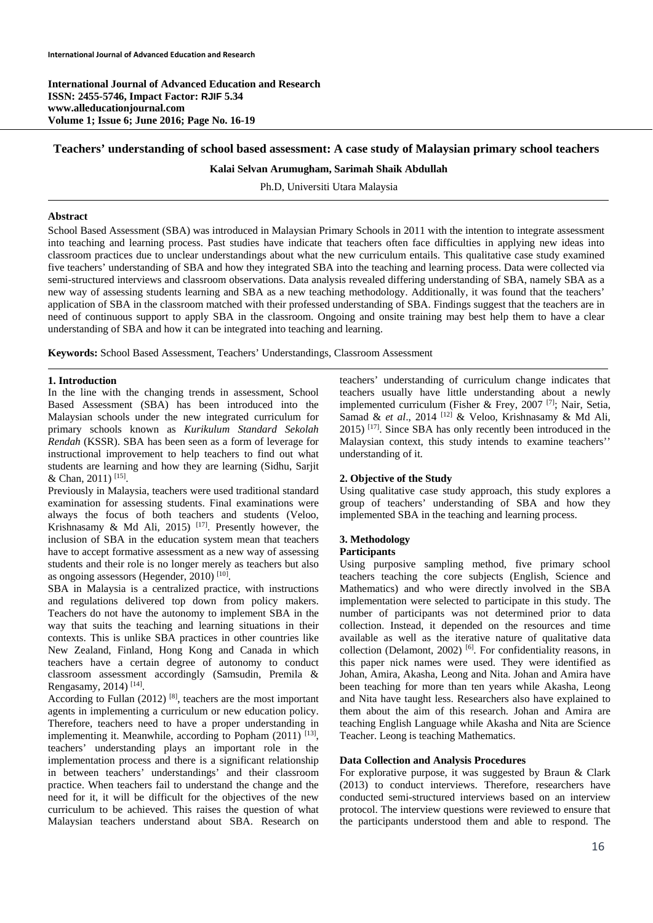**International Journal of Advanced Education and Research ISSN: 2455-5746, Impact Factor: RJIF 5.34 www.alleducationjournal.com Volume 1; Issue 6; June 2016; Page No. 16-19** 

## **Teachers' understanding of school based assessment: A case study of Malaysian primary school teachers**

#### **Kalai Selvan Arumugham, Sarimah Shaik Abdullah**

Ph.D, Universiti Utara Malaysia

#### **Abstract**

School Based Assessment (SBA) was introduced in Malaysian Primary Schools in 2011 with the intention to integrate assessment into teaching and learning process. Past studies have indicate that teachers often face difficulties in applying new ideas into classroom practices due to unclear understandings about what the new curriculum entails. This qualitative case study examined five teachers' understanding of SBA and how they integrated SBA into the teaching and learning process. Data were collected via semi-structured interviews and classroom observations. Data analysis revealed differing understanding of SBA, namely SBA as a new way of assessing students learning and SBA as a new teaching methodology. Additionally, it was found that the teachers' application of SBA in the classroom matched with their professed understanding of SBA. Findings suggest that the teachers are in need of continuous support to apply SBA in the classroom. Ongoing and onsite training may best help them to have a clear understanding of SBA and how it can be integrated into teaching and learning.

**Keywords:** School Based Assessment, Teachers' Understandings, Classroom Assessment

## **1. Introduction**

In the line with the changing trends in assessment, School Based Assessment (SBA) has been introduced into the Malaysian schools under the new integrated curriculum for primary schools known as *Kurikulum Standard Sekolah Rendah* (KSSR). SBA has been seen as a form of leverage for instructional improvement to help teachers to find out what students are learning and how they are learning (Sidhu, Sarjit & Chan, 2011) [15].

Previously in Malaysia, teachers were used traditional standard examination for assessing students. Final examinations were always the focus of both teachers and students (Veloo, Krishnasamy & Md Ali, 2015)<sup>[17]</sup>. Presently however, the inclusion of SBA in the education system mean that teachers have to accept formative assessment as a new way of assessing students and their role is no longer merely as teachers but also as ongoing assessors (Hegender, 2010)<sup>[10]</sup>.

SBA in Malaysia is a centralized practice, with instructions and regulations delivered top down from policy makers. Teachers do not have the autonomy to implement SBA in the way that suits the teaching and learning situations in their contexts. This is unlike SBA practices in other countries like New Zealand, Finland, Hong Kong and Canada in which teachers have a certain degree of autonomy to conduct classroom assessment accordingly (Samsudin, Premila & Rengasamy, 2014) [14].

According to Fullan  $(2012)$ <sup>[8]</sup>, teachers are the most important agents in implementing a curriculum or new education policy. Therefore, teachers need to have a proper understanding in implementing it. Meanwhile, according to Popham  $(2011)$ <sup>[13]</sup>, teachers' understanding plays an important role in the implementation process and there is a significant relationship in between teachers' understandings' and their classroom practice. When teachers fail to understand the change and the need for it, it will be difficult for the objectives of the new curriculum to be achieved. This raises the question of what Malaysian teachers understand about SBA. Research on teachers' understanding of curriculum change indicates that teachers usually have little understanding about a newly implemented curriculum (Fisher & Frey, 2007 [7]; Nair, Setia, Samad & *et al*., 2014 [12] & Veloo, Krishnasamy & Md Ali, 2015) <sup>[17]</sup>. Since SBA has only recently been introduced in the Malaysian context, this study intends to examine teachers'' understanding of it.

### **2. Objective of the Study**

Using qualitative case study approach, this study explores a group of teachers' understanding of SBA and how they implemented SBA in the teaching and learning process.

# **3. Methodology**

### **Participants**

Using purposive sampling method, five primary school teachers teaching the core subjects (English, Science and Mathematics) and who were directly involved in the SBA implementation were selected to participate in this study. The number of participants was not determined prior to data collection. Instead, it depended on the resources and time available as well as the iterative nature of qualitative data collection (Delamont, 2002) [6]. For confidentiality reasons, in this paper nick names were used. They were identified as Johan, Amira, Akasha, Leong and Nita. Johan and Amira have been teaching for more than ten years while Akasha, Leong and Nita have taught less. Researchers also have explained to them about the aim of this research. Johan and Amira are teaching English Language while Akasha and Nita are Science Teacher. Leong is teaching Mathematics.

### **Data Collection and Analysis Procedures**

For explorative purpose, it was suggested by Braun & Clark (2013) to conduct interviews. Therefore, researchers have conducted semi-structured interviews based on an interview protocol. The interview questions were reviewed to ensure that the participants understood them and able to respond. The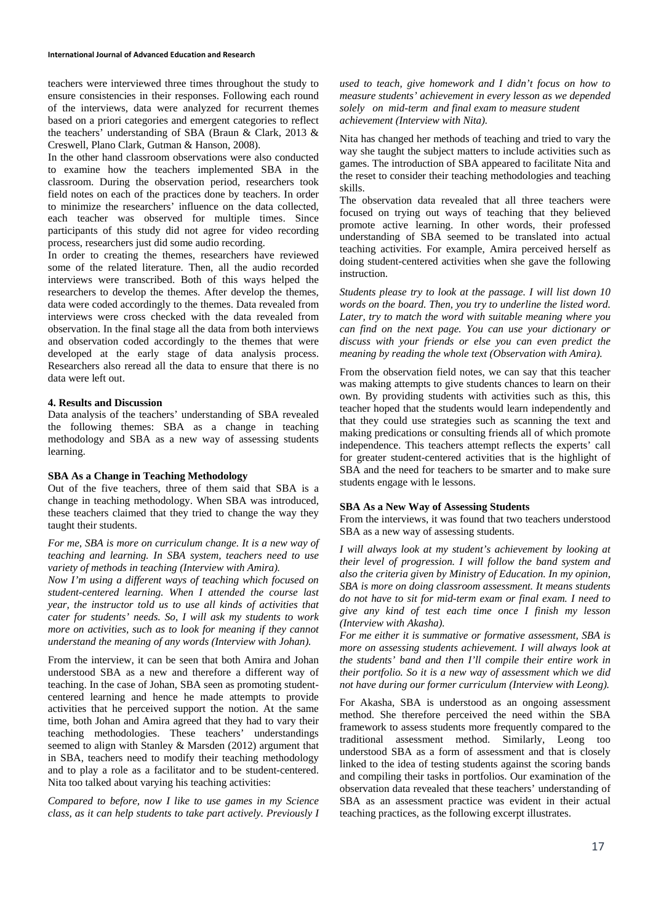teachers were interviewed three times throughout the study to ensure consistencies in their responses. Following each round of the interviews, data were analyzed for recurrent themes based on a priori categories and emergent categories to reflect the teachers' understanding of SBA (Braun & Clark, 2013 & Creswell, Plano Clark, Gutman & Hanson, 2008).

In the other hand classroom observations were also conducted to examine how the teachers implemented SBA in the classroom. During the observation period, researchers took field notes on each of the practices done by teachers. In order to minimize the researchers' influence on the data collected, each teacher was observed for multiple times. Since participants of this study did not agree for video recording process, researchers just did some audio recording.

In order to creating the themes, researchers have reviewed some of the related literature. Then, all the audio recorded interviews were transcribed. Both of this ways helped the researchers to develop the themes. After develop the themes, data were coded accordingly to the themes. Data revealed from interviews were cross checked with the data revealed from observation. In the final stage all the data from both interviews and observation coded accordingly to the themes that were developed at the early stage of data analysis process. Researchers also reread all the data to ensure that there is no data were left out.

### **4. Results and Discussion**

Data analysis of the teachers' understanding of SBA revealed the following themes: SBA as a change in teaching methodology and SBA as a new way of assessing students learning.

### **SBA As a Change in Teaching Methodology**

Out of the five teachers, three of them said that SBA is a change in teaching methodology. When SBA was introduced, these teachers claimed that they tried to change the way they taught their students.

*For me, SBA is more on curriculum change. It is a new way of teaching and learning. In SBA system, teachers need to use variety of methods in teaching (Interview with Amira).* 

*Now I'm using a different ways of teaching which focused on student-centered learning. When I attended the course last year, the instructor told us to use all kinds of activities that cater for students' needs. So, I will ask my students to work more on activities, such as to look for meaning if they cannot understand the meaning of any words (Interview with Johan).* 

From the interview, it can be seen that both Amira and Johan understood SBA as a new and therefore a different way of teaching. In the case of Johan, SBA seen as promoting studentcentered learning and hence he made attempts to provide activities that he perceived support the notion. At the same time, both Johan and Amira agreed that they had to vary their teaching methodologies. These teachers' understandings seemed to align with Stanley & Marsden (2012) argument that in SBA, teachers need to modify their teaching methodology and to play a role as a facilitator and to be student-centered. Nita too talked about varying his teaching activities:

*Compared to before, now I like to use games in my Science class, as it can help students to take part actively. Previously I*  *used to teach, give homework and I didn't focus on how to measure students' achievement in every lesson as we depended solely on mid-term and final exam to measure student achievement (Interview with Nita).* 

Nita has changed her methods of teaching and tried to vary the way she taught the subject matters to include activities such as games. The introduction of SBA appeared to facilitate Nita and the reset to consider their teaching methodologies and teaching skills.

The observation data revealed that all three teachers were focused on trying out ways of teaching that they believed promote active learning. In other words, their professed understanding of SBA seemed to be translated into actual teaching activities. For example, Amira perceived herself as doing student-centered activities when she gave the following instruction.

*Students please try to look at the passage. I will list down 10 words on the board. Then, you try to underline the listed word. Later, try to match the word with suitable meaning where you can find on the next page. You can use your dictionary or discuss with your friends or else you can even predict the meaning by reading the whole text (Observation with Amira).* 

From the observation field notes, we can say that this teacher was making attempts to give students chances to learn on their own. By providing students with activities such as this, this teacher hoped that the students would learn independently and that they could use strategies such as scanning the text and making predications or consulting friends all of which promote independence. This teachers attempt reflects the experts' call for greater student-centered activities that is the highlight of SBA and the need for teachers to be smarter and to make sure students engage with le lessons.

### **SBA As a New Way of Assessing Students**

From the interviews, it was found that two teachers understood SBA as a new way of assessing students.

*I will always look at my student's achievement by looking at their level of progression. I will follow the band system and also the criteria given by Ministry of Education. In my opinion, SBA is more on doing classroom assessment. It means students do not have to sit for mid-term exam or final exam. I need to give any kind of test each time once I finish my lesson (Interview with Akasha).* 

*For me either it is summative or formative assessment, SBA is more on assessing students achievement. I will always look at the students' band and then I'll compile their entire work in their portfolio. So it is a new way of assessment which we did not have during our former curriculum (Interview with Leong).* 

For Akasha, SBA is understood as an ongoing assessment method. She therefore perceived the need within the SBA framework to assess students more frequently compared to the traditional assessment method. Similarly, Leong too understood SBA as a form of assessment and that is closely linked to the idea of testing students against the scoring bands and compiling their tasks in portfolios. Our examination of the observation data revealed that these teachers' understanding of SBA as an assessment practice was evident in their actual teaching practices, as the following excerpt illustrates.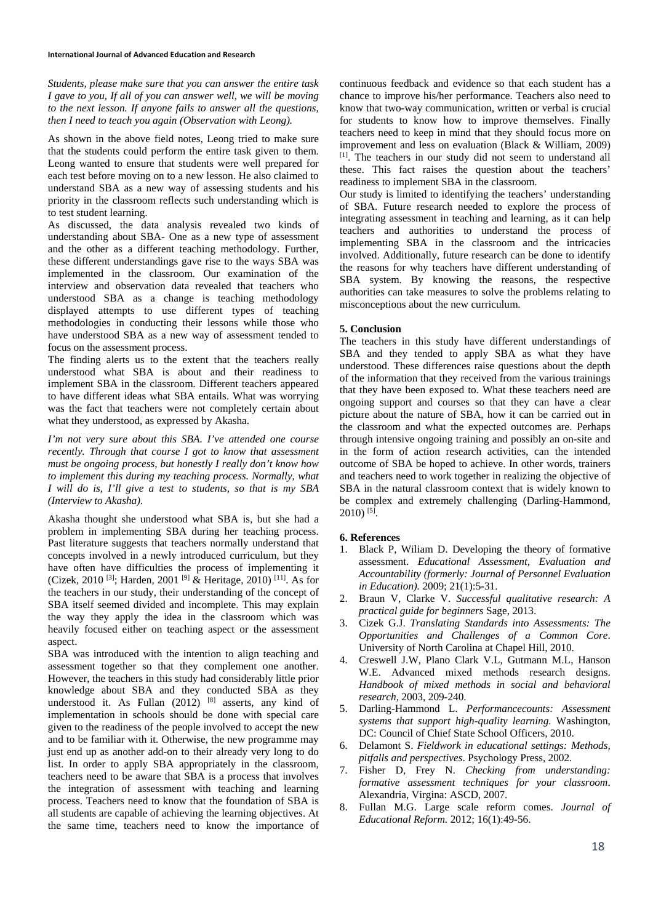*Students, please make sure that you can answer the entire task I gave to you, If all of you can answer well, we will be moving to the next lesson. If anyone fails to answer all the questions, then I need to teach you again (Observation with Leong).* 

As shown in the above field notes, Leong tried to make sure that the students could perform the entire task given to them. Leong wanted to ensure that students were well prepared for each test before moving on to a new lesson. He also claimed to understand SBA as a new way of assessing students and his priority in the classroom reflects such understanding which is to test student learning.

As discussed, the data analysis revealed two kinds of understanding about SBA- One as a new type of assessment and the other as a different teaching methodology. Further, these different understandings gave rise to the ways SBA was implemented in the classroom. Our examination of the interview and observation data revealed that teachers who understood SBA as a change is teaching methodology displayed attempts to use different types of teaching methodologies in conducting their lessons while those who have understood SBA as a new way of assessment tended to focus on the assessment process.

The finding alerts us to the extent that the teachers really understood what SBA is about and their readiness to implement SBA in the classroom. Different teachers appeared to have different ideas what SBA entails. What was worrying was the fact that teachers were not completely certain about what they understood, as expressed by Akasha.

*I'm not very sure about this SBA. I've attended one course recently. Through that course I got to know that assessment must be ongoing process, but honestly I really don't know how to implement this during my teaching process. Normally, what I will do is, I'll give a test to students, so that is my SBA (Interview to Akasha).* 

Akasha thought she understood what SBA is, but she had a problem in implementing SBA during her teaching process. Past literature suggests that teachers normally understand that concepts involved in a newly introduced curriculum, but they have often have difficulties the process of implementing it (Cizek, 2010 [3]; Harden, 2001 [9] & Heritage, 2010) [11]. As for the teachers in our study, their understanding of the concept of SBA itself seemed divided and incomplete. This may explain the way they apply the idea in the classroom which was heavily focused either on teaching aspect or the assessment aspect.

SBA was introduced with the intention to align teaching and assessment together so that they complement one another. However, the teachers in this study had considerably little prior knowledge about SBA and they conducted SBA as they understood it. As Fullan  $(2012)$  [8] asserts, any kind of implementation in schools should be done with special care given to the readiness of the people involved to accept the new and to be familiar with it. Otherwise, the new programme may just end up as another add-on to their already very long to do list. In order to apply SBA appropriately in the classroom, teachers need to be aware that SBA is a process that involves the integration of assessment with teaching and learning process. Teachers need to know that the foundation of SBA is all students are capable of achieving the learning objectives. At the same time, teachers need to know the importance of continuous feedback and evidence so that each student has a chance to improve his/her performance. Teachers also need to know that two-way communication, written or verbal is crucial for students to know how to improve themselves. Finally teachers need to keep in mind that they should focus more on improvement and less on evaluation (Black & William, 2009) [1]. The teachers in our study did not seem to understand all these. This fact raises the question about the teachers' readiness to implement SBA in the classroom.

Our study is limited to identifying the teachers' understanding of SBA. Future research needed to explore the process of integrating assessment in teaching and learning, as it can help teachers and authorities to understand the process of implementing SBA in the classroom and the intricacies involved. Additionally, future research can be done to identify the reasons for why teachers have different understanding of SBA system. By knowing the reasons, the respective authorities can take measures to solve the problems relating to misconceptions about the new curriculum.

## **5. Conclusion**

The teachers in this study have different understandings of SBA and they tended to apply SBA as what they have understood. These differences raise questions about the depth of the information that they received from the various trainings that they have been exposed to. What these teachers need are ongoing support and courses so that they can have a clear picture about the nature of SBA, how it can be carried out in the classroom and what the expected outcomes are. Perhaps through intensive ongoing training and possibly an on-site and in the form of action research activities, can the intended outcome of SBA be hoped to achieve. In other words, trainers and teachers need to work together in realizing the objective of SBA in the natural classroom context that is widely known to be complex and extremely challenging (Darling-Hammond,  $2010$ <sup>[5]</sup>.

### **6. References**

- 1. Black P, Wiliam D. Developing the theory of formative assessment. *Educational Assessment, Evaluation and Accountability (formerly: Journal of Personnel Evaluation in Education).* 2009; 21(1):5-31.
- 2. Braun V, Clarke V. *Successful qualitative research: A practical guide for beginners* Sage, 2013.
- 3. Cizek G.J. *Translating Standards into Assessments: The Opportunities and Challenges of a Common Core*. University of North Carolina at Chapel Hill, 2010.
- 4. Creswell J.W, Plano Clark V.L, Gutmann M.L, Hanson W.E. Advanced mixed methods research designs. *Handbook of mixed methods in social and behavioral research*, 2003, 209-240.
- 5. Darling-Hammond L. *Performancecounts: Assessment systems that support high-quality learning.* Washington, DC: Council of Chief State School Officers, 2010.
- 6. Delamont S. *Fieldwork in educational settings: Methods, pitfalls and perspectives*. Psychology Press, 2002.
- 7. Fisher D, Frey N. *Checking from understanding: formative assessment techniques for your classroom*. Alexandria, Virgina: ASCD, 2007.
- 8. Fullan M.G. Large scale reform comes. *Journal of Educational Reform.* 2012; 16(1):49-56.